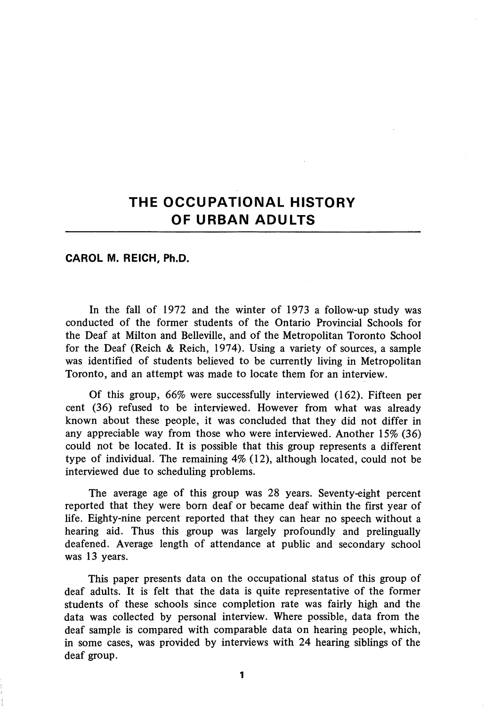# THE OCCUPATIONAL HISTORY OF URBAN ADULTS

CAROL M. REICH, Ph.D.

In the fall of 1972 and the winter of 1973 a follow-up study was conducted of the former students of the Ontario Provincial Schools for the Deaf at Milton and Belleville, and of the Metropolitan Toronto School for the Deaf (Reich & Reich, 1974). Using a variety of sources, a sample was identified of students believed to be currently living in Metropolitan Toronto, and an attempt was made to locate them for an interview.

Of this group, 66% were successfully interviewed (162). Fifteen per cent (36) refused to be interviewed. However from what was already known about these people, it was concluded that they did not differ in any appreciable way from those who were interviewed. Another 15% (36) could not be located. It is possible that this group represents a different type of individual. The remaining 4% (12), although located, could not be interviewed due to scheduling problems.

The average age of this group was 28 years. Seventy-eight percent reported that they were born deaf or became deaf within the first year of life. Eighty-nine percent reported that they can hear no speech without a hearing aid. Thus this group was largely profoundly and prelingually deafened. Average length of attendance at public and secondary school was 13 years.

This paper presents data on the occupational status of this group of deaf adults. It is felt that the data is quite representative of the former students of these schools since completion rate was fairly high and the data was collected by personal interview. Where possible, data from the deaf sample is compared with comparable data on hearing people, which, in some cases, was provided by interviews with 24 hearing siblings of the deaf group.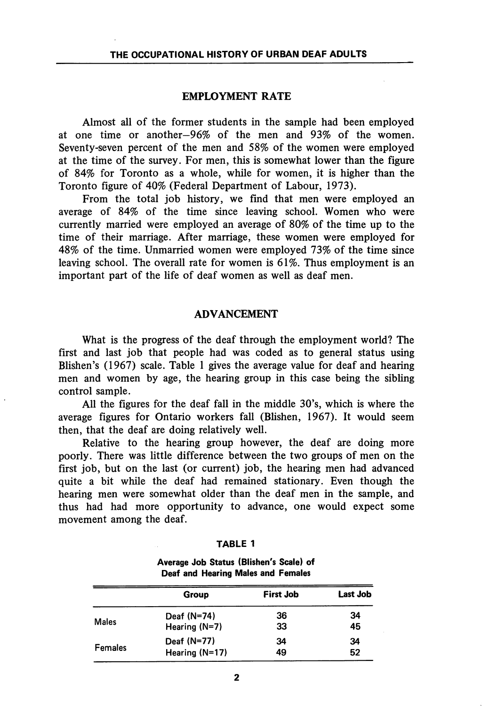## EMPLOYMENT RATE

Almost all of the former students in the sample had been employed at one time or another—96% of the men and 93% of the women. Seventy-seven percent of the men and 58% of the women were employed at the time of the survey. For men, this is somewhat lower than the figure of 84% for Toronto as a whole, while for women, it is higher than the Toronto figure of 40% (Federal Department of Labour, 1973).

From the total job history, we find that men were employed an average of 84% of the time since leaving school. Women who were currently married were employed an average of 80% of the time up to the time of their marriage. After marriage, these women were employed for 48% of the time. Unmarried women were employed 73% of the time since leaving school. The overall rate for women is 61%. Thus employment is an important part of the life of deaf women as well as deaf men.

## ADVANCEMENT

What is the progress of the deaf through the employment world? The first and last job that people had was coded as to general status using Blishen's (1967) scale. Table 1 gives the average value for deaf and hearing men and women by age, the hearing group in this case being the sibling control sample.

All the figures for the deaf fall in the middle 30's, which is where the average figures for Ontario workers fall (Bhshen, 1967). It would seem then, that the deaf are doing relatively well.

Relative to the hearing group however, the deaf are doing more poorly. There was little difference between the two groups of men on the first job, but on the last (or current) job, the hearing men had advanced quite a bit while the deaf had remained stationary. Even though the hearing men were somewhat older than the deaf men in the sample, and thus had had more opportunity to advance, one would expect some movement among the deaf.

| п<br>r. |  |
|---------|--|
|---------|--|

Average Job Status (Blishen's Scale) of Deaf and Hearing Males and Females

|                | Group           | <b>First Job</b> | <b>Last Job</b> |
|----------------|-----------------|------------------|-----------------|
|                | Deaf $(N=74)$   | 36               | 34              |
| <b>Males</b>   | Hearing $(N=7)$ | 33               | 45              |
|                | Deaf (N=77)     | 34               | 34              |
| <b>Females</b> | Hearing (N=17)  | 49               | 52              |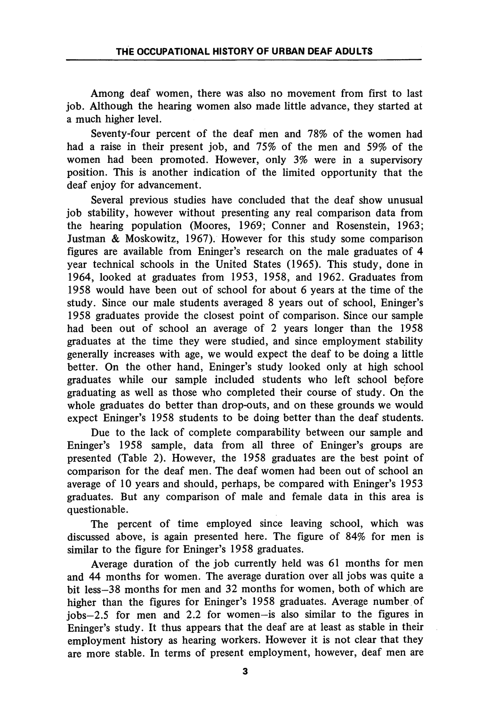Among deaf women, there was also no movement from first to last job. Although the hearing women also made little advance, they started at a much higher level.

Seventy-four percent of the deaf men and 78% of the women had had a raise in their present job, and 75% of the men and 59% of the women had been promoted. However, only 3% were in a supervisory position. This is another indication of the limited opportunity that the deaf enjoy for advancement.

Several previous studies have concluded that the deaf show unusual job stability, however without presenting any real comparison data from the hearing population (Moores, 1969; Conner and Rosenstein, 1963; Justman & Moskowitz, 1967). However for this study some comparison figures are available from Eninger's research on the male graduates of 4 year technical schools in the United States (1965). This study, done in 1964, looked at graduates from 1953, 1958, and 1962. Graduates from 1958 would have been out of school for about 6 years at the time of the study. Since our male students averaged 8 years out of school, Eninger's 1958 graduates provide the closest point of comparison. Since our sample had been out of school an average of 2 years longer than the 1958 graduates at the time they were studied, and since employment stability generally increases with age, we would expect the deaf to be doing a little better. On the other hand, Eninger's study looked only at high school graduates while our sample included students who left school before graduating as well as those who completed their course of study. On the whole graduates do better than drop-outs, and on these grounds we would expect Eninger's 1958 students to be doing better than the deaf students.

Due to the lack of complete comparability between our sample and Eninger's 1958 sample, data from all three of Eninger's groups are presented (Table 2). However, the 1958 graduates are the best point of comparison for the deaf men. The deaf women had been out of school an average of 10 years and should, perhaps, be compared with Eninger's 1953 graduates. But any comparison of male and female data in this area is questionable.

The percent of time employed since leaving school, which was discussed above, is again presented here. The figure of 84% for men is similar to the figure for Eninger's 1958 graduates.

Average duration of the job currently held was 61 months for men and 44 months for women. The average duration over all jobs was quite a bit less—38 months for men and 32 months for women, both of which are higher than the figures for Eninger's 1958 graduates. Average number of jobs—2.5 for men and 2.2 for women—is also similar to the figures in Eninger's study. It thus appears that the deaf are at least as stable in their employment history as hearing workers. However it is not clear that they are more stable. In terms of present employment, however, deaf men are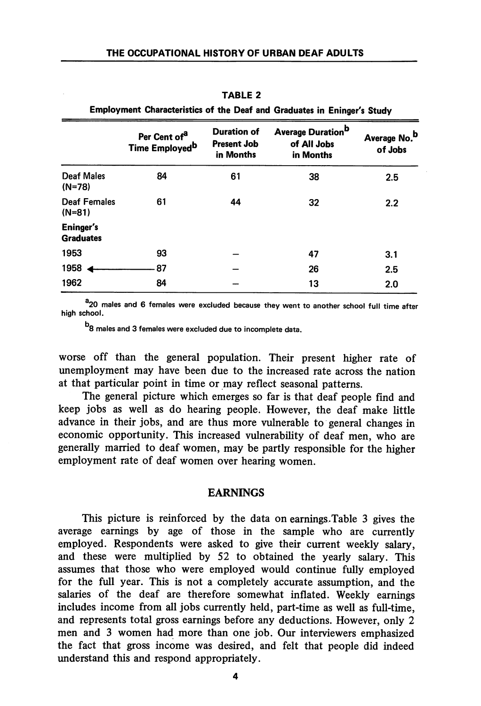|                                      | Per Cent of <sup>a</sup><br>Time Employed <sup>b</sup> | Average Duration <sup>b</sup><br><b>Duration of</b><br><b>Present Job</b><br>in Months |    | Average No. <sup>b</sup><br>of Jobs |  |
|--------------------------------------|--------------------------------------------------------|----------------------------------------------------------------------------------------|----|-------------------------------------|--|
| Deaf Males<br>$(N=78)$               | 84                                                     | 61                                                                                     | 38 | 2.5                                 |  |
| <b>Deaf Females</b><br>$(N=81)$      | 61                                                     | 44                                                                                     | 32 | 2.2                                 |  |
| <b>Eninger's</b><br><b>Graduates</b> |                                                        |                                                                                        |    |                                     |  |
| 1953                                 | 93                                                     |                                                                                        | 47 | 3.1                                 |  |
| 1958                                 | 87                                                     |                                                                                        | 26 | 2.5                                 |  |
| 1962                                 | 84                                                     |                                                                                        | 13 | 2.0                                 |  |

TABLE 2

Employment Characteristics of the Deaf and Graduates in Eninger's Study

<sup>a</sup> 20 males and 6 females were excluded because they went to another school full time after high school.

b<sub>8</sub> males and 3 females were excluded due to incomplete data.

worse off than the general population. Their present higher rate of unemployment may have been due to the increased rate across the nation at that particular point in time or may reflect seasonal patterns.

The general picture which emerges so far is that deaf people find and keep jobs as well as do hearing people. However, the deaf make little advance in their jobs, and are thus more vulnerable to general changes in economic opportunity. This increased vulnerability of deaf men, who are generally married to deaf women, may be partly responsible for the higher employment rate of deaf women over hearing women.

#### EARNINGS

This picture is reinforced by the data on earnings.Table 3 gives the average earnings by age of those in the sample who are currently employed. Respondents were asked to give their current weekly salary, and these were multiplied by 52 to obtained the yearly salary. This assumes that those who were employed would continue fully employed for the full year. This is not a completely accurate assumption, and the salaries of the deaf are therefore somewhat inflated. Weekly earnings includes income from all jobs currently held, part-time as well as full-time, and represents total gross earnings before any deductions. However, only 2 men and 3 women had more than one job. Our interviewers emphasized the fact that gross income was desired, and felt that people did indeed understand this and respond appropriately.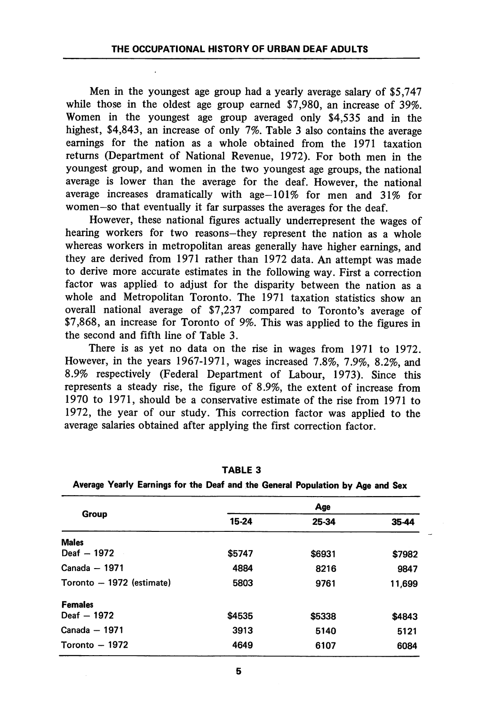Men in the youngest age group had a yearly average salary of \$5,747 while those in the oldest age group earned \$7,980, an increase of 39%. Women in the youngest age group averaged only \$4,535 and in the highest, \$4,843, an increase of only 7%. Table 3 also contains the average earnings for the nation as a whole obtained from the 1971 taxation returns (Department of National Revenue, 1972). For both men in the youngest group, and women in the two youngest age groups, the national average is lower than the average for the deaf. However, the national average increases dramatically with age-101% for men and 31% for women-so that eventually it far surpasses the averages for the deaf.

However, these national figures actually underrepresent the wages of hearing workers for two reasons—they represent the nation as a whole whereas workers in metropolitan areas generally have higher earnings, and they are derived from 1971 rather than 1972 data. An attempt was made to derive more accurate estimates in the following way. First a correction factor was applied to adjust for the disparity between the nation as a whole and Metropolitan Toronto. The 1971 taxation statistics show an overall national average of \$7,237 compared to Toronto's average of \$7,868, an increase for Toronto of 9%. This was applied to the figures in the second and fifth line of Table 3.

There is as yet no data on the rise in wages from 1971 to 1972. However, in the years 1967-1971, wages increased 7.8%, 7.9%, 8.2%, and 8.9% respectively (Federal Department of Labour, 1973). Since this represents a steady rise, the figure of 8.9%, the extent of increase from 1970 to 1971, should be a conservative estimate of the rise from 1971 to 1972, the year of our study. This correction factor was applied to the average salaries obtained after applying the first correction factor.

| Age    |        |        |  |  |  |  |  |
|--------|--------|--------|--|--|--|--|--|
| 15-24  | 25-34  | 35-44  |  |  |  |  |  |
|        |        |        |  |  |  |  |  |
| \$5747 | \$6931 | \$7982 |  |  |  |  |  |
| 4884   | 8216   | 9847   |  |  |  |  |  |
| 5803   | 9761   | 11.699 |  |  |  |  |  |
|        |        |        |  |  |  |  |  |
| \$4535 | \$5338 | \$4843 |  |  |  |  |  |
| 3913   | 5140   | 5121   |  |  |  |  |  |
| 4649   | 6107   | 6084   |  |  |  |  |  |
|        |        |        |  |  |  |  |  |

TABLE 3

|  |  |  |  |  |  |  |  | Average Yearly Earnings for the Deaf and the General Population by Age and Sex |  |  |  |  |
|--|--|--|--|--|--|--|--|--------------------------------------------------------------------------------|--|--|--|--|
|--|--|--|--|--|--|--|--|--------------------------------------------------------------------------------|--|--|--|--|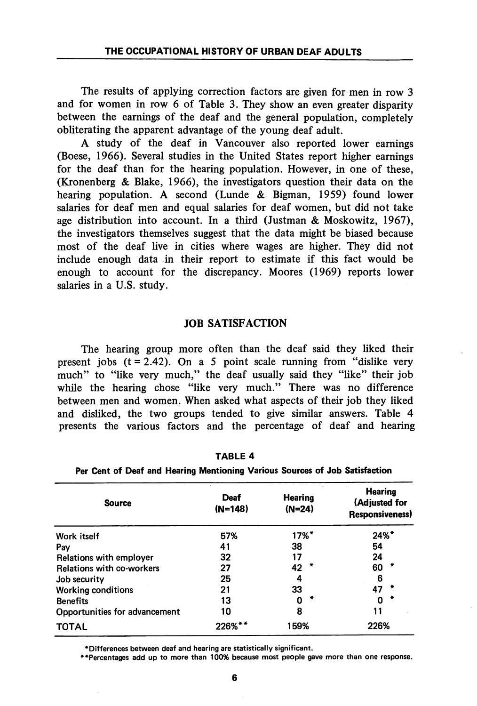The results of applying correction factors are given for men in row 3 and for women in row 6 of Table 3. They show an even greater disparity between the earnings of the deaf and the general population, completely obliterating the apparent advantage of the young deaf adult.

A study of the deaf in Vancouver also reported lower earnings (Boese, 1966). Several studies in the United States report higher earnings for the deaf than for the hearing population. However, in one of these, (Kronenberg & Blake, 1966), the investigators question their data on the hearing population. A second (Lunde & Bigman, 1959) found lower salaries for deaf men and equal salaries for deaf women, but did not take age distribution into account. In a third (Justman & Moskowitz, 1967), the investigators themselves suggest that the data might be biased because most of the deaf live in cities where wages are higher. They did not include enough data in their report to estimate if this fact would be enough to account for the discrepancy. Moores (1969) reports lower salaries in a U.S. study.

## JOB SATISFACTION

The hearing group more often than the deaf said they liked their present jobs  $(t = 2.42)$ . On a 5 point scale running from "dislike very much" to "like very much," the deaf usually said they "like" their job while the hearing chose "like very much." There was no difference between men and women. When asked what aspects of their job they liked and disliked, the two groups tended to give similar answers. Table 4 presents the various factors and the percentage of deaf and hearing

| <b>Source</b>                    | Deaf<br>$(N=148)$ | <b>Hearing</b><br>$(N=24)$ |                     |
|----------------------------------|-------------------|----------------------------|---------------------|
| Work itself                      | 57%               | $17%$ <sup>*</sup>         | $24\%$ <sup>*</sup> |
| Pav                              | 41                | 38                         | 54                  |
| Relations with employer          | 32                | 17                         | 24                  |
| <b>Relations with co-workers</b> | 27                | 42                         | 60                  |
| Job security                     | 25                | 4                          | 6                   |
| <b>Working conditions</b>        | 21                | 33                         | 47                  |
| <b>Benefits</b>                  | 13                | Ω                          | በ                   |
| Opportunities for advancement    | 10                | 8                          | 11                  |
| <b>TOTAL</b>                     | 226%**            | 159%                       | 226%                |

TABLE 4

|  |  |  |  |  |  |  |  |  |  |  | Per Cent of Deaf and Hearing Mentioning Various Sources of Job Satisfaction |
|--|--|--|--|--|--|--|--|--|--|--|-----------------------------------------------------------------------------|
|--|--|--|--|--|--|--|--|--|--|--|-----------------------------------------------------------------------------|

^Differences between deaf and hearing are statistically significant.

♦•Percentages add up to more than 100% because most people gave more than one response.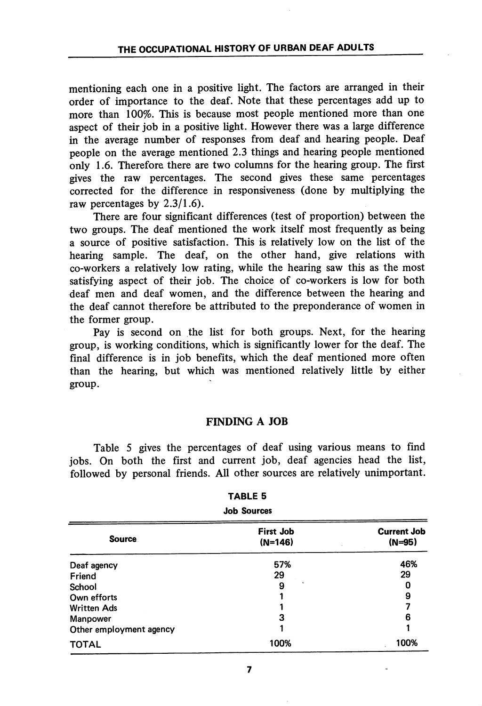mentioning each one in a positive light. The factors are arranged in their order of importance to the deaf. Note that these percentages add up to more than 100%. This is because most people mentioned more than one aspect of their job in a positive light. However there was a large difference in the average number of responses from deaf and hearing people. Deaf people on the average mentioned 2.3 things and hearing people mentioned only 1.6. Therefore there are two columns for the hearing group. The first gives the raw percentages. The second gives these same percentages corrected for the difference in responsiveness (done by multiplying the raw percentages by 2.3/1.6).

There are four significant differences (test of proportion) between the two groups. The deaf mentioned the work itself most frequently as being a source of positive satisfaction. This is relatively low on the list of the hearing sample. The deaf, on the other hand, give relations with co-workers a relatively low rating, while the hearing saw this as the most satisfying aspect of their job. The choice of co-workers is low for both deaf men and deaf women, and the difference between the hearing and the deaf cannot therefore be attributed to the preponderance of women in the former group.

Pay is second on the list for both groups. Next, for the hearing group, is working conditions, which is significantly lower for the deaf. The final difference is in job benefits, which the deaf mentioned more often than the hearing, but which was mentioned relatively little by either group.

# FINDING A JOB

Table 5 gives the percentages of deaf using various means to find jobs. On both the first and current job, deaf agencies head the list, followed by personal friends. All other sources are relatively unimportant.

| .<br><b>Job Sources</b> |                               |                                |  |  |  |  |
|-------------------------|-------------------------------|--------------------------------|--|--|--|--|
| <b>Source</b>           | <b>First Job</b><br>$(N=146)$ | <b>Current Job</b><br>$(N=95)$ |  |  |  |  |
| Deaf agency             | 57%                           | 46%                            |  |  |  |  |
| Friend                  | 29                            | 29                             |  |  |  |  |
| School                  | 9                             | 0                              |  |  |  |  |
| Own efforts             |                               | 9                              |  |  |  |  |
| <b>Written Ads</b>      |                               |                                |  |  |  |  |
| <b>Manpower</b>         | 3                             | 6                              |  |  |  |  |
| Other employment agency |                               |                                |  |  |  |  |
| <b>TOTAL</b>            | 100%                          | 100%                           |  |  |  |  |

# TABLE 5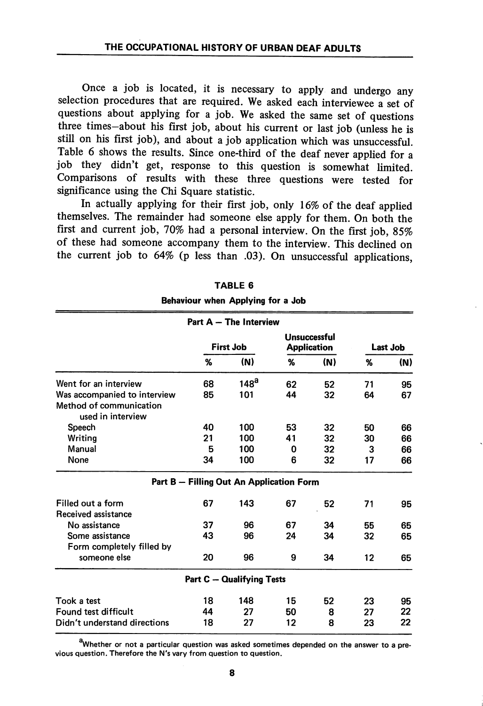Once a job is located, it is necessary to apply and undergo any selection procedures that are required. We asked each interviewee a set of questions about applying for a job. We asked the same set of questions three times—about his first job, about his current or last job (unless he is still on his first job), and about a job application which was unsuccessful. Table 6 shows the results. Since one-third of the deaf never applied for a job they didn't get, response to this question is somewhat limited. Comparisons of results with these three questions were tested for significance using the Chi Square statistic.

In actually applying for their first job, only 16% of the deaf applied themselves. The remainder had someone else apply for them. On both the first and current job, 70% had a personal interview. On the first job, 85% of these had someone accompany them to the interview. This declined on the current job to 64% (p less than .03). On unsuccessful applications,

|                                                                              |                  | Part $A$ - The Interview                 |    |                                           |                 |     |  |
|------------------------------------------------------------------------------|------------------|------------------------------------------|----|-------------------------------------------|-----------------|-----|--|
|                                                                              | <b>First Job</b> |                                          |    | <b>Unsuccessful</b><br><b>Application</b> | <b>Last Job</b> |     |  |
|                                                                              | %                | (N)                                      | %  | (N)                                       | %               | (N) |  |
| Went for an interview                                                        | 68               | 148 <sup>a</sup>                         | 62 | 52                                        | 71              | 95  |  |
| Was accompanied to interview<br>Method of communication<br>used in interview | 85               | 101                                      | 44 | 32                                        | 64              | 67  |  |
| Speech                                                                       | 40               | 100                                      | 53 | 32                                        | 50              | 66  |  |
| Writing                                                                      | 21               | 100                                      | 41 | 32                                        | 30              | 66  |  |
| Manual                                                                       | 5                | 100                                      | 0  | 32                                        | 3               | 66  |  |
| None                                                                         | 34               | 100                                      | 6  | 32                                        | 17              | 66  |  |
|                                                                              |                  | Part B - Filling Out An Application Form |    |                                           |                 |     |  |
| Filled out a form<br>Received assistance                                     | 67               | 143                                      | 67 | 52                                        | 71              | 95  |  |
| No assistance                                                                | 37               | 96                                       | 67 | 34                                        | 55              | 65  |  |
| Some assistance                                                              | 43               | 96                                       | 24 | 34                                        | 32              | 65  |  |
| Form completely filled by                                                    |                  |                                          |    |                                           |                 |     |  |
| someone else                                                                 | 20               | 96                                       | 9  | 34                                        | 12              | 65  |  |
|                                                                              |                  | <b>Part C - Qualifying Tests</b>         |    |                                           |                 |     |  |
| Took a test                                                                  | 18               | 148                                      | 15 | 52                                        | 23              | 95  |  |
| Found test difficult                                                         | 44               | 27                                       | 50 | 8                                         | 27              | 22  |  |
| Didn't understand directions                                                 | 18               | 27                                       | 12 | 8                                         | 23              | 22  |  |

Behaviour when Applying for a Job

<sup>a</sup>Whether or not a particular question was asked sometimes depended on the answer to a previous question. Therefore the N's vary from question to question.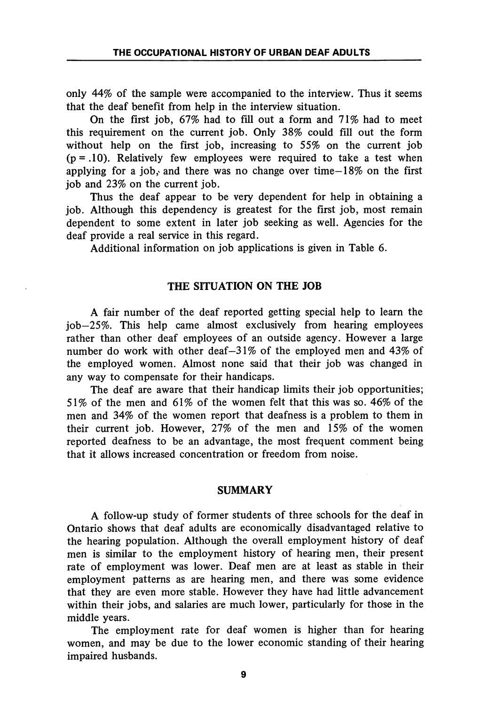only 44% of the sample were accompanied to the interview. Thus it seems that the deaf benefit from help in the interview situation.

On the first job, 67% had to fill out a form and 71% had to meet this requirement on the current job. Only 38% could fill out the form without help on the first job, increasing to 55% on the current job  $(p = .10)$ . Relatively few employees were required to take a test when applying for a job, and there was no change over time–18% on the first job and 23% on the current job.

Thus the deaf appear to be very dependent for help in obtaining a job. Although this dependency is greatest for the first job, most remain dependent to some extent in later job seeking as well. Agencies for the deaf provide a real service in this regard.

Additional information on job applications is given in Table 6.

# THE SITUATION ON THE JOB

A fair number of the deaf reported getting special help to learn the job—25%. This help came almost exclusively from hearing employees rather than other deaf employees of an outside agency. However a large number do work with other deaf—31% of the employed men and 43% of the employed women. Almost none said that their job was changed in any way to compensate for their handicaps.

The deaf are aware that their handicap limits their job opportunities; 51% of the men and 61% of the women felt that this was so. 46% of the men and 34% of the women report that deafness is a problem to them in their current job. However, 27% of the men and 15% of the women reported deafness to be an advantage, the most frequent comment being that it allows increased concentration or freedom from noise.

### SUMMARY

A follow-up study of former students of three schools for the deaf in Ontario shows that deaf adults are economically disadvantaged relative to the hearing population. Although the overall employment history of deaf men is similar to the employment history of hearing men, their present rate of employment was lower. Deaf men are at least as stable in their employment patterns as are hearing men, and there was some evidence that they are even more stable. However they have had little advancement within their jobs, and salaries are much lower, particularly for those in the middle years.

The employment rate for deaf women is higher than for hearing women, and may be due to the lower economic standing of their hearing impaired husbands.